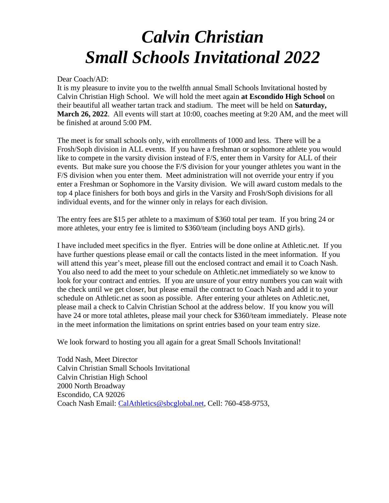# *Calvin Christian Small Schools Invitational 2022*

Dear Coach/AD:

It is my pleasure to invite you to the twelfth annual Small Schools Invitational hosted by Calvin Christian High School. We will hold the meet again **at Escondido High School** on their beautiful all weather tartan track and stadium. The meet will be held on **Saturday, March 26, 2022.** All events will start at 10:00, coaches meeting at 9:20 AM, and the meet will be finished at around 5:00 PM.

The meet is for small schools only, with enrollments of 1000 and less. There will be a Frosh/Soph division in ALL events. If you have a freshman or sophomore athlete you would like to compete in the varsity division instead of F/S, enter them in Varsity for ALL of their events. But make sure you choose the F/S division for your younger athletes you want in the F/S division when you enter them. Meet administration will not override your entry if you enter a Freshman or Sophomore in the Varsity division. We will award custom medals to the top 4 place finishers for both boys and girls in the Varsity and Frosh/Soph divisions for all individual events, and for the winner only in relays for each division.

The entry fees are \$15 per athlete to a maximum of \$360 total per team. If you bring 24 or more athletes, your entry fee is limited to \$360/team (including boys AND girls).

I have included meet specifics in the flyer. Entries will be done online at Athletic.net. If you have further questions please email or call the contacts listed in the meet information. If you will attend this year's meet, please fill out the enclosed contract and email it to Coach Nash. You also need to add the meet to your schedule on Athletic.net immediately so we know to look for your contract and entries. If you are unsure of your entry numbers you can wait with the check until we get closer, but please email the contract to Coach Nash and add it to your schedule on Athletic.net as soon as possible. After entering your athletes on Athletic.net, please mail a check to Calvin Christian School at the address below. If you know you will have 24 or more total athletes, please mail your check for \$360/team immediately. Please note in the meet information the limitations on sprint entries based on your team entry size.

We look forward to hosting you all again for a great Small Schools Invitational!

Todd Nash, Meet Director Calvin Christian Small Schools Invitational Calvin Christian High School 2000 North Broadway Escondido, CA 92026 Coach Nash Email: [CalAthletics@sbcglobal.net,](mailto:CalAthletics@sbcglobal.net) Cell: 760-458-9753,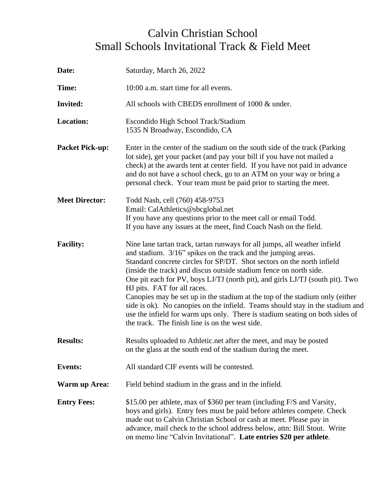## Calvin Christian School Small Schools Invitational Track & Field Meet

| Date:                  | Saturday, March 26, 2022                                                                                                                                                                                                                                                                                                                                                                                                                                                                                                                                                                                                                                                                                       |  |
|------------------------|----------------------------------------------------------------------------------------------------------------------------------------------------------------------------------------------------------------------------------------------------------------------------------------------------------------------------------------------------------------------------------------------------------------------------------------------------------------------------------------------------------------------------------------------------------------------------------------------------------------------------------------------------------------------------------------------------------------|--|
| Time:                  | 10:00 a.m. start time for all events.                                                                                                                                                                                                                                                                                                                                                                                                                                                                                                                                                                                                                                                                          |  |
| <b>Invited:</b>        | All schools with CBEDS enrollment of 1000 & under.                                                                                                                                                                                                                                                                                                                                                                                                                                                                                                                                                                                                                                                             |  |
| <b>Location:</b>       | Escondido High School Track/Stadium<br>1535 N Broadway, Escondido, CA                                                                                                                                                                                                                                                                                                                                                                                                                                                                                                                                                                                                                                          |  |
| <b>Packet Pick-up:</b> | Enter in the center of the stadium on the south side of the track (Parking<br>lot side), get your packet (and pay your bill if you have not mailed a<br>check) at the awards tent at center field. If you have not paid in advance<br>and do not have a school check, go to an ATM on your way or bring a<br>personal check. Your team must be paid prior to starting the meet.                                                                                                                                                                                                                                                                                                                                |  |
| <b>Meet Director:</b>  | Todd Nash, cell (760) 458-9753<br>Email: CalAthletics@sbcglobal.net<br>If you have any questions prior to the meet call or email Todd.<br>If you have any issues at the meet, find Coach Nash on the field.                                                                                                                                                                                                                                                                                                                                                                                                                                                                                                    |  |
| <b>Facility:</b>       | Nine lane tartan track, tartan runways for all jumps, all weather infield<br>and stadium. 3/16" spikes on the track and the jumping areas.<br>Standard concrete circles for SP/DT. Shot sectors on the north infield<br>(inside the track) and discus outside stadium fence on north side.<br>One pit each for PV, boys LJ/TJ (north pit), and girls LJ/TJ (south pit). Two<br>HJ pits. FAT for all races.<br>Canopies may be set up in the stadium at the top of the stadium only (either<br>side is ok). No canopies on the infield. Teams should stay in the stadium and<br>use the infield for warm ups only. There is stadium seating on both sides of<br>the track. The finish line is on the west side. |  |
| <b>Results:</b>        | Results uploaded to Athletic.net after the meet, and may be posted<br>on the glass at the south end of the stadium during the meet.                                                                                                                                                                                                                                                                                                                                                                                                                                                                                                                                                                            |  |
| <b>Events:</b>         | All standard CIF events will be contested.                                                                                                                                                                                                                                                                                                                                                                                                                                                                                                                                                                                                                                                                     |  |
| <b>Warm up Area:</b>   | Field behind stadium in the grass and in the infield.                                                                                                                                                                                                                                                                                                                                                                                                                                                                                                                                                                                                                                                          |  |
| <b>Entry Fees:</b>     | \$15.00 per athlete, max of \$360 per team (including F/S and Varsity,<br>boys and girls). Entry fees must be paid before athletes compete. Check<br>made out to Calvin Christian School or cash at meet. Please pay in<br>advance, mail check to the school address below, attn: Bill Stout. Write<br>on memo line "Calvin Invitational". Late entries \$20 per athlete.                                                                                                                                                                                                                                                                                                                                      |  |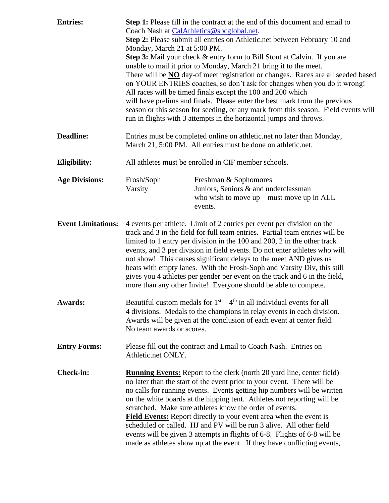| <b>Entries:</b>           | Step 1: Please fill in the contract at the end of this document and email to<br>Coach Nash at CalAthletics@sbcglobal.net.<br>Step 2: Please submit all entries on Athletic.net between February 10 and<br>Monday, March 21 at 5:00 PM.<br>Step 3: Mail your check & entry form to Bill Stout at Calvin. If you are<br>unable to mail it prior to Monday, March 21 bring it to the meet.<br>There will be <b>NO</b> day-of meet registration or changes. Races are all seeded based<br>on YOUR ENTRIES coaches, so don't ask for changes when you do it wrong!<br>All races will be timed finals except the 100 and 200 which<br>will have prelims and finals. Please enter the best mark from the previous<br>season or this season for seeding, or any mark from this season. Field events will<br>run in flights with 3 attempts in the horizontal jumps and throws. |                                                                                                                                                                                                                                                                                                                                                                                                                                                                                                                                                                                                                                                                                       |  |
|---------------------------|------------------------------------------------------------------------------------------------------------------------------------------------------------------------------------------------------------------------------------------------------------------------------------------------------------------------------------------------------------------------------------------------------------------------------------------------------------------------------------------------------------------------------------------------------------------------------------------------------------------------------------------------------------------------------------------------------------------------------------------------------------------------------------------------------------------------------------------------------------------------|---------------------------------------------------------------------------------------------------------------------------------------------------------------------------------------------------------------------------------------------------------------------------------------------------------------------------------------------------------------------------------------------------------------------------------------------------------------------------------------------------------------------------------------------------------------------------------------------------------------------------------------------------------------------------------------|--|
| <b>Deadline:</b>          | Entries must be completed online on athletic.net no later than Monday,<br>March 21, 5:00 PM. All entries must be done on athletic.net.                                                                                                                                                                                                                                                                                                                                                                                                                                                                                                                                                                                                                                                                                                                                 |                                                                                                                                                                                                                                                                                                                                                                                                                                                                                                                                                                                                                                                                                       |  |
| <b>Eligibility:</b>       | All athletes must be enrolled in CIF member schools.                                                                                                                                                                                                                                                                                                                                                                                                                                                                                                                                                                                                                                                                                                                                                                                                                   |                                                                                                                                                                                                                                                                                                                                                                                                                                                                                                                                                                                                                                                                                       |  |
| <b>Age Divisions:</b>     | Frosh/Soph<br>Varsity                                                                                                                                                                                                                                                                                                                                                                                                                                                                                                                                                                                                                                                                                                                                                                                                                                                  | Freshman & Sophomores<br>Juniors, Seniors & and underclassman<br>who wish to move $up$ – must move $up$ in ALL<br>events.                                                                                                                                                                                                                                                                                                                                                                                                                                                                                                                                                             |  |
| <b>Event Limitations:</b> | 4 events per athlete. Limit of 2 entries per event per division on the<br>track and 3 in the field for full team entries. Partial team entries will be<br>limited to 1 entry per division in the 100 and 200, 2 in the other track<br>events, and 3 per division in field events. Do not enter athletes who will<br>not show! This causes significant delays to the meet AND gives us<br>heats with empty lanes. With the Frosh-Soph and Varsity Div, this still<br>gives you 4 athletes per gender per event on the track and 6 in the field,<br>more than any other Invite! Everyone should be able to compete.                                                                                                                                                                                                                                                      |                                                                                                                                                                                                                                                                                                                                                                                                                                                                                                                                                                                                                                                                                       |  |
| <b>Awards:</b>            | No team awards or scores.                                                                                                                                                                                                                                                                                                                                                                                                                                                                                                                                                                                                                                                                                                                                                                                                                                              | Beautiful custom medals for $1st - 4th$ in all individual events for all<br>4 divisions. Medals to the champions in relay events in each division.<br>Awards will be given at the conclusion of each event at center field.                                                                                                                                                                                                                                                                                                                                                                                                                                                           |  |
| <b>Entry Forms:</b>       | Athletic.net ONLY.                                                                                                                                                                                                                                                                                                                                                                                                                                                                                                                                                                                                                                                                                                                                                                                                                                                     | Please fill out the contract and Email to Coach Nash. Entries on                                                                                                                                                                                                                                                                                                                                                                                                                                                                                                                                                                                                                      |  |
| <b>Check-in:</b>          |                                                                                                                                                                                                                                                                                                                                                                                                                                                                                                                                                                                                                                                                                                                                                                                                                                                                        | <b>Running Events:</b> Report to the clerk (north 20 yard line, center field)<br>no later than the start of the event prior to your event. There will be<br>no calls for running events. Events getting hip numbers will be written<br>on the white boards at the hipping tent. Athletes not reporting will be<br>scratched. Make sure athletes know the order of events.<br><b>Field Events:</b> Report directly to your event area when the event is<br>scheduled or called. HJ and PV will be run 3 alive. All other field<br>events will be given 3 attempts in flights of 6-8. Flights of 6-8 will be<br>made as athletes show up at the event. If they have conflicting events, |  |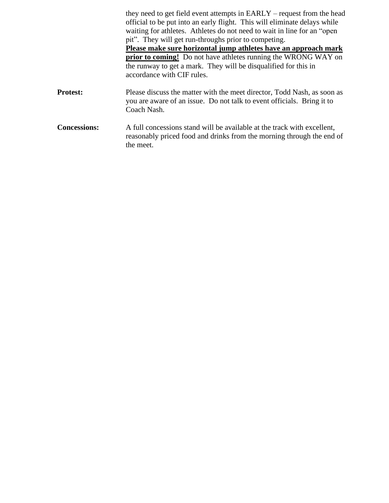|                     | they need to get field event attempts in EARLY – request from the head<br>official to be put into an early flight. This will eliminate delays while<br>waiting for athletes. Athletes do not need to wait in line for an "open"<br>pit". They will get run-throughs prior to competing. |
|---------------------|-----------------------------------------------------------------------------------------------------------------------------------------------------------------------------------------------------------------------------------------------------------------------------------------|
|                     | Please make sure horizontal jump athletes have an approach mark                                                                                                                                                                                                                         |
|                     | <b>prior to coming!</b> Do not have athletes running the WRONG WAY on<br>the runway to get a mark. They will be disqualified for this in<br>accordance with CIF rules.                                                                                                                  |
| <b>Protest:</b>     | Please discuss the matter with the meet director, Todd Nash, as soon as<br>you are aware of an issue. Do not talk to event officials. Bring it to<br>Coach Nash.                                                                                                                        |
| <b>Concessions:</b> | A full concessions stand will be available at the track with excellent,<br>reasonably priced food and drinks from the morning through the end of<br>the meet.                                                                                                                           |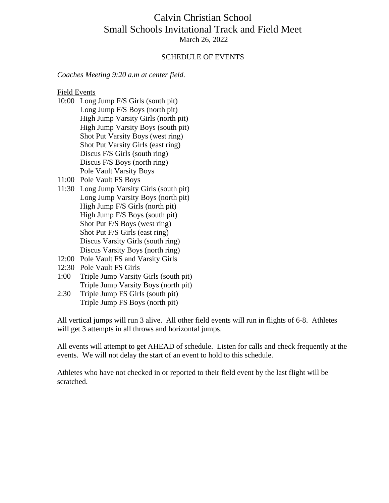### Calvin Christian School Small Schools Invitational Track and Field Meet March 26, 2022

#### SCHEDULE OF EVENTS

*Coaches Meeting 9:20 a.m at center field.*

Field Events

- 10:00 Long Jump F/S Girls (south pit) Long Jump F/S Boys (north pit) High Jump Varsity Girls (north pit) High Jump Varsity Boys (south pit) Shot Put Varsity Boys (west ring) Shot Put Varsity Girls (east ring) Discus F/S Girls (south ring) Discus F/S Boys (north ring) Pole Vault Varsity Boys
- 11:00 Pole Vault FS Boys
- 11:30 Long Jump Varsity Girls (south pit) Long Jump Varsity Boys (north pit) High Jump F/S Girls (north pit) High Jump F/S Boys (south pit) Shot Put F/S Boys (west ring) Shot Put F/S Girls (east ring) Discus Varsity Girls (south ring) Discus Varsity Boys (north ring)
- 12:00 Pole Vault FS and Varsity Girls
- 12:30 Pole Vault FS Girls
- 1:00 Triple Jump Varsity Girls (south pit) Triple Jump Varsity Boys (north pit)
- 2:30 Triple Jump FS Girls (south pit) Triple Jump FS Boys (north pit)

All vertical jumps will run 3 alive. All other field events will run in flights of 6-8. Athletes will get 3 attempts in all throws and horizontal jumps.

All events will attempt to get AHEAD of schedule. Listen for calls and check frequently at the events. We will not delay the start of an event to hold to this schedule.

Athletes who have not checked in or reported to their field event by the last flight will be scratched.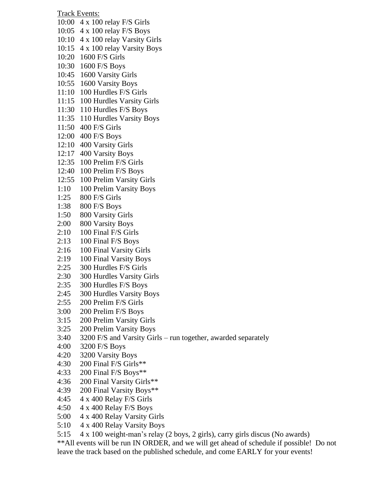Track Events:

- 10:00 4 x 100 relay F/S Girls
- 10:05 4 x 100 relay F/S Boys
- 10:10 4 x 100 relay Varsity Girls
- 10:15 4 x 100 relay Varsity Boys
- 10:20 1600 F/S Girls
- 10:30 1600 F/S Boys
- 10:45 1600 Varsity Girls
- 10:55 1600 Varsity Boys
- 11:10 100 Hurdles F/S Girls
- 11:15 100 Hurdles Varsity Girls
- 11:30 110 Hurdles F/S Boys
- 11:35 110 Hurdles Varsity Boys
- 11:50 400 F/S Girls
- 12:00 400 F/S Boys
- 12:10 400 Varsity Girls
- 12:17 400 Varsity Boys
- 12:35 100 Prelim F/S Girls
- 12:40 100 Prelim F/S Boys
- 12:55 100 Prelim Varsity Girls
- 1:10 100 Prelim Varsity Boys
- 1:25 800 F/S Girls
- 1:38 800 F/S Boys
- 1:50 800 Varsity Girls
- 2:00 800 Varsity Boys
- 2:10 100 Final F/S Girls
- 2:13 100 Final F/S Boys
- 2:16 100 Final Varsity Girls
- 2:19 100 Final Varsity Boys
- 2:25 300 Hurdles F/S Girls
- 2:30 300 Hurdles Varsity Girls
- 2:35 300 Hurdles F/S Boys
- 2:45 300 Hurdles Varsity Boys
- 2:55 200 Prelim F/S Girls
- 3:00 200 Prelim F/S Boys
- 3:15 200 Prelim Varsity Girls
- 3:25 200 Prelim Varsity Boys
- 3:40 3200 F/S and Varsity Girls run together, awarded separately
- 4:00 3200 F/S Boys
- 4:20 3200 Varsity Boys
- 4:30 200 Final F/S Girls\*\*
- 4:33 200 Final F/S Boys\*\*
- 4:36 200 Final Varsity Girls\*\*
- 4:39 200 Final Varsity Boys\*\*
- 4:45 4 x 400 Relay F/S Girls
- 4:50 4 x 400 Relay F/S Boys
- 5:00 4 x 400 Relay Varsity Girls
- 5:10 4 x 400 Relay Varsity Boys
- 5:15 4 x 100 weight-man's relay (2 boys, 2 girls), carry girls discus (No awards)

\*\*All events will be run IN ORDER, and we will get ahead of schedule if possible! Do not leave the track based on the published schedule, and come EARLY for your events!